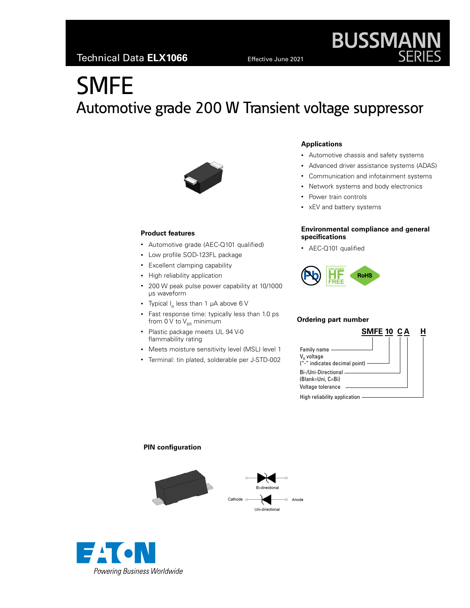# **SMFE** Automotive grade 200 W Transient voltage suppressor



# **Product features**

- Automotive grade (AEC-Q101 qualified)
- Low profile SOD-123FL package
- Excellent clamping capability
- High reliability application
- 200 W peak pulse power capability at 10/1000 μs waveform
- Typical  $I_R$  less than 1  $\mu$ A above 6 V
- Fast response time: typically less than 1.0 ps from 0 V to  $V_{BB}$  minimum
- Plastic package meets UL 94 V-0 flammability rating
- Meets moisture sensitivity level (MSL) level 1
- Terminal: tin plated, solderable per J-STD-002

# **Applications**

- Automotive chassis and safety systems
- Advanced driver assistance systems (ADAS)

**BUSSMANN**<br>SERIES

- Communication and infotainment systems
- Network systems and body electronics
- Power train controls
- xEV and battery systems

# **Environmental compliance and general specifications**

• AEC-Q101 qualified



### **Ordering part number**

| SMFE 10 CA                                                             |  |
|------------------------------------------------------------------------|--|
|                                                                        |  |
| Family name<br>V <sub>R</sub> voltage<br>("-" indicates decimal point) |  |
| Bi-/Uni-Directional -<br>(Blank=Uni, C=Bi)<br>Voltage tolerance        |  |
| High reliability application                                           |  |

# **PIN configuration**



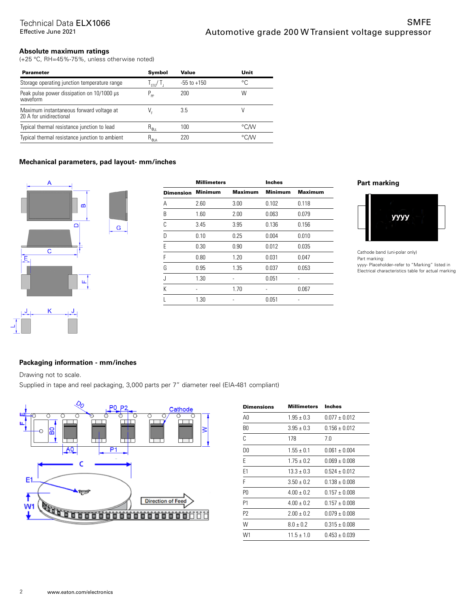# **Absolute maximum ratings**

(+25 °C, RH=45%-75%, unless otherwise noted)

| <b>Parameter</b>                                                    | Symbol                            | Value           | Unit |
|---------------------------------------------------------------------|-----------------------------------|-----------------|------|
| Storage operating junction temperature range                        | $\frac{1}{2}$                     | $-55$ to $+150$ | °C.  |
| Peak pulse power dissipation on 10/1000 µs<br>waveform              | $P_{\text{pp}}$                   | 200             | W    |
| Maximum instantaneous forward voltage at<br>20 A for unidirectional |                                   | 3.5             |      |
| Typical thermal resistance junction to lead                         | $H_{\theta_{\rm JL}}$             | 100             | °C/W |
| Typical thermal resistance junction to ambient                      | $\mathsf{R}_{\Theta \mathsf{JA}}$ | 220             | °C∕W |

# **Mechanical parameters, pad layout- mm/inches**

G



|                  | <b>Millimeters</b> |                | <b>Inches</b>  |                |
|------------------|--------------------|----------------|----------------|----------------|
| <b>Dimension</b> | <b>Minimum</b>     | <b>Maximum</b> | <b>Minimum</b> | <b>Maximum</b> |
| А                | 2.60               | 3.00           | 0.102          | 0.118          |
| B                | 1.60               | 2.00           | 0.063          | 0.079          |
| C                | 3.45               | 3.95           | 0.136          | 0.156          |
| D                | 0.10               | 0.25           | 0.004          | 0.010          |
| E                | 0.30               | 0.90           | 0.012          | 0.035          |
| F                | 0.80               | 1.20           | 0.031          | 0.047          |
| G                | 0.95               | 1.35           | 0.037          | 0.053          |
| J                | 1.30               |                | 0.051          |                |
| K                |                    | 1.70           |                | 0.067          |
|                  | 1.30               |                | 0.051          |                |

# **Part marking**



Cathode band (uni-polar only) Part marking: yyyy- Placeholder--refer to "Marking" listed in Electrical characteristics table for actual marking

# **Packaging information - mm/inches**

Drawing not to scale.

Supplied in tape and reel packaging, 3,000 parts per 7" diameter reel (EIA-481 compliant)



| <b>Dimensions</b> | <b>Millimeters</b> Inches |                   |
|-------------------|---------------------------|-------------------|
| A0                | $1.95 + 0.3$              | $0.077 + 0.012$   |
| B0                | $3.95 + 0.3$              | $0.156 + 0.012$   |
| C                 | 178                       | 7.0               |
| D0                | $1.55 \pm 0.1$            | $0.061 \pm 0.004$ |
| E                 | $1.75 \pm 0.2$            | $0.069 \pm 0.008$ |
| F <sub>1</sub>    | $13.3 + 0.3$              | $0.524 + 0.012$   |
| F                 | $3.50 + 0.2$              | $0.138 + 0.008$   |
| P0                | $4.00 + 0.2$              | $0.157 \pm 0.008$ |
| P1                | $4.00 + 0.2$              | $0.157 + 0.008$   |
| P2                | $2.00 + 0.2$              | $0.079 \pm 0.008$ |
| W                 | $8.0 \pm 0.2$             | $0.315 \pm 0.008$ |
| W1                | $11.5 \pm 1.0$            | $0.453 \pm 0.039$ |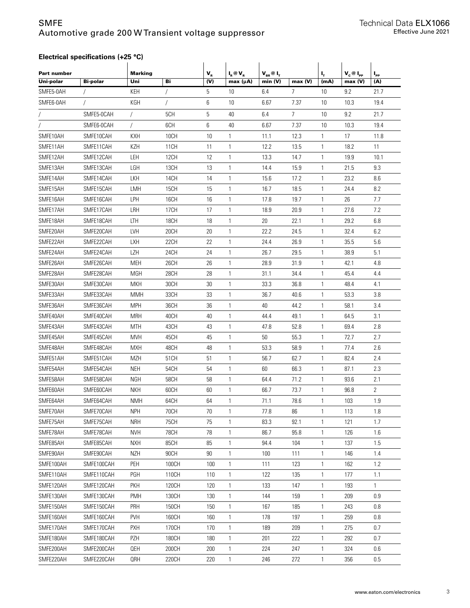# SMFE Automotive grade 200 W Transient voltage suppressor

# **Electrical specifications (+25 °C)**

| Part number<br>Uni-polar | <b>Bi-polar</b> | <b>Marking</b><br>Uni | Bi               | $\mathbf{V}_{\textrm{\tiny R}}$<br>(V) | $I_R @V_R$<br>max (µA) | $V_{BR}$ @ $I_{T}$<br>min (V) | max (V)        | ц.<br>(mA)      | $V_c @ I_{PP}$<br>max (V) | $I_{\rm PP}$<br>(A) |
|--------------------------|-----------------|-----------------------|------------------|----------------------------------------|------------------------|-------------------------------|----------------|-----------------|---------------------------|---------------------|
| SMFE5-0AH                |                 | KEH                   | T                | 5                                      | 10                     | 6.4                           | 7              | 10              | 9.2                       | 21.7                |
| SMFE6-0AH                | $\sqrt{2}$      | KGH                   | $\prime$         | 6                                      | 10                     | 6.67                          | 7.37           | 10 <sup>°</sup> | 10.3                      | 19.4                |
|                          | SMFE5-0CAH      |                       | 5CH              | 5                                      | 40                     | 6.4                           | $\overline{7}$ | 10              | 9.2                       | 21.7                |
|                          | SMFE6-0CAH      | $\prime$              | 6CH              | 6                                      | 40                     | 6.67                          | 7.37           | 10              | 10.3                      | 19.4                |
| SMFE10AH                 | SMFE10CAH       | <b>KXH</b>            | <b>10CH</b>      | 10                                     | 1                      | 11.1                          | 12.3           | 1               | 17                        | 11.8                |
| SMFE11AH                 | SMFE11CAH       | KZH                   | 11CH             | 11                                     | 1                      | 12.2                          | 13.5           | 1               | 18.2                      | 11                  |
| SMFE12AH                 | SMFE12CAH       | LEH                   | 12CH             | 12                                     | 1                      | 13.3                          | 14.7           | 1               | 19.9                      | 10.1                |
| SMFE13AH                 | SMFE13CAH       | LGH                   | 13CH             | 13                                     | 1                      | 14.4                          | 15.9           | 1               | 21.5                      | 9.3                 |
| SMFE14AH                 | SMFE14CAH       | LKH                   | 14CH             | 14                                     | 1                      | 15.6                          | 17.2           | 1               | 23.2                      | 8.6                 |
| SMFE15AH                 | SMFE15CAH       | LMH                   | 15CH             | 15                                     | 1                      | 16.7                          | 18.5           | 1               | 24.4                      | 8.2                 |
| SMFE16AH                 | SMFE16CAH       | LPH                   | 16CH             | 16                                     | 1                      | 17.8                          | 19.7           | 1               | 26                        | 7.7                 |
| SMFE17AH                 | SMFE17CAH       | LRH                   | 17 <sub>CH</sub> | 17                                     | 1                      | 18.9                          | 20.9           | 1               | 27.6                      | 7.2                 |
| SMFE18AH                 | SMFE18CAH       | LTH                   | <b>18CH</b>      | 18                                     | 1                      | 20                            | 22.1           | 1               | 29.2                      | 6.8                 |
| SMFE20AH                 | SMFE20CAH       | <b>LVH</b>            | 20CH             | 20                                     | 1                      | 22.2                          | 24.5           | 1               | 32.4                      | 6.2                 |
| SMFE22AH                 | SMFE22CAH       | LXH                   | 22CH             | 22                                     | 1                      | 24.4                          | 26.9           | 1               | 35.5                      | 5.6                 |
| SMFE24AH                 | SMFE24CAH       | <b>LZH</b>            | 24CH             | 24                                     | 1                      | 26.7                          | 29.5           | 1               | 38.9                      | 5.1                 |
| SMFE26AH                 | SMFE26CAH       | <b>MEH</b>            | 26CH             | 26                                     | 1                      | 28.9                          | 31.9           | 1               | 42.1                      | 4.8                 |
| SMFE28AH                 | SMFE28CAH       | <b>MGH</b>            | 28CH             | 28                                     | 1                      | 31.1                          | 34.4           | $\mathbf{1}$    | 45.4                      | 4.4                 |
| SMFE30AH                 | SMFE30CAH       | MKH                   | 30CH             | 30                                     | 1                      | 33.3                          | 36.8           | 1               | 48.4                      | 4.1                 |
| SMFE33AH                 | SMFE33CAH       | <b>MMH</b>            | 33CH             | 33                                     | 1                      | 36.7                          | 40.6           | 1               | 53.3                      | 3.8                 |
| SMFE36AH                 | SMFE36CAH       | <b>MPH</b>            | 36CH             | 36                                     | 1                      | 40                            | 44.2           | $\mathbf{1}$    | 58.1                      | 3.4                 |
| SMFE40AH                 | SMFE40CAH       | <b>MRH</b>            | 40CH             | 40                                     | 1                      | 44.4                          | 49.1           | 1               | 64.5                      | 3.1                 |
| SMFE43AH                 | SMFE43CAH       | <b>MTH</b>            | 43CH             | 43                                     | 1                      | 47.8                          | 52.8           | $\mathbf{1}$    | 69.4                      | 2.8                 |
| SMFE45AH                 | SMFE45CAH       | <b>MVH</b>            | 45CH             | 45                                     | 1                      | 50                            | 55.3           | 1               | 72.7                      | 2.7                 |
| SMFE48AH                 | SMFE48CAH       | <b>MXH</b>            | 48CH             | 48                                     | 1                      | 53.3                          | 58.9           | 1               | 77.4                      | 2.6                 |
| SMFE51AH                 | SMFE51CAH       | <b>MZH</b>            | 51CH             | 51                                     | 1                      | 56.7                          | 62.7           | 1               | 82.4                      | 2.4                 |
| SMFE54AH                 | SMFE54CAH       | <b>NEH</b>            | 54CH             | 54                                     | 1                      | 60                            | 66.3           | 1               | 87.1                      | 2.3                 |
| SMFE58AH                 | SMFE58CAH       | <b>NGH</b>            | 58CH             | 58                                     | 1                      | 64.4                          | 71.2           | 1               | 93.6                      | 2.1                 |
| SMFE60AH                 | SMFE60CAH       | <b>NKH</b>            | 60CH             | 60                                     | 1                      | 66.7                          | 73.7           | 1               | 96.8                      | 2                   |
| SMFE64AH                 | SMFE64CAH       | <b>NMH</b>            | 64CH             | 64                                     | 1                      | 71.1                          | 78.6           | 1               | 103                       | 1.9                 |
| SMFE70AH                 | SMFE70CAH       | <b>NPH</b>            | 70CH             | 70                                     | 1                      | 77.8                          | 86             | $\mathbf{1}$    | 113                       | 1.8                 |
| SMFE75AH                 | SMFE75CAH       | <b>NRH</b>            | <b>75CH</b>      | 75                                     | $\mathbf{1}$           | 83.3                          | 92.1           | $\mathbf{1}$    | 121                       | 1.7                 |
| SMFE78AH                 | SMFE78CAH       | <b>NVH</b>            | 78CH             | 78                                     | $\mathbf{1}$           | 86.7                          | 95.8           | $\mathbf{1}$    | 126                       | 1.6                 |
| SMFE85AH                 | SMFE85CAH       | <b>NXH</b>            | 85CH             | 85                                     | $\mathbf{1}$           | 94.4                          | 104            | $\mathbf{1}$    | 137                       | 1.5                 |
| SMFE90AH                 | SMFE90CAH       | <b>NZH</b>            | 90CH             | 90                                     | 1                      | 100                           | 111            | 1               | 146                       | 1.4                 |
| SMFE100AH                | SMFE100CAH      | PEH                   | 100CH            | 100                                    | $\mathbf{1}$           | 111                           | 123            | $\mathbf{1}$    | 162                       | 1.2                 |
| SMFE110AH                | SMFE110CAH      | PGH                   | 110CH            | 110                                    | $\mathbf{1}$           | 122                           | 135            | $\mathbf{1}$    | 177                       | 1.1                 |
| SMFE120AH                | SMFE120CAH      | <b>PKH</b>            | 120CH            | 120                                    | $\mathbf{1}$           | 133                           | 147            | 1               | 193                       | $\mathbf{1}$        |
| SMFE130AH                | SMFE130CAH      | <b>PMH</b>            | 130CH            | 130                                    | $\mathbf{1}$           | 144                           | 159            | $\mathbf{1}$    | 209                       | 0.9                 |
| SMFE150AH                | SMFE150CAH      | PRH                   | 150CH            | 150                                    | 1                      | 167                           | 185            | $\mathbf{1}$    | 243                       | 0.8                 |
| SMFE160AH                | SMFE160CAH      | <b>PVH</b>            | 160CH            | 160                                    | $\mathbf{1}$           | 178                           | 197            | $\mathbf{1}$    | 259                       | 0.8                 |
| SMFE170AH                | SMFE170CAH      | <b>PXH</b>            | 170CH            | 170                                    | $\mathbf{1}$           | 189                           | 209            | $\mathbf{1}$    | 275                       | 0.7                 |
| SMFE180AH                | SMFE180CAH      | PZH                   | 180CH            | 180                                    | 1                      | 201                           | 222            | $\mathbf{1}$    | 292                       | 0.7                 |
| SMFE200AH                | SMFE200CAH      | <b>QEH</b>            | 200CH            | 200                                    | $\mathbf{1}$           | 224                           | 247            | $\mathbf{1}$    | 324                       | 0.6                 |
| SMFE220AH                | SMFE220CAH      | QRH                   | 220CH            | 220                                    | $\mathbf{1}$           | 246                           | 272            | $\mathbf{1}$    | 356                       | 0.5                 |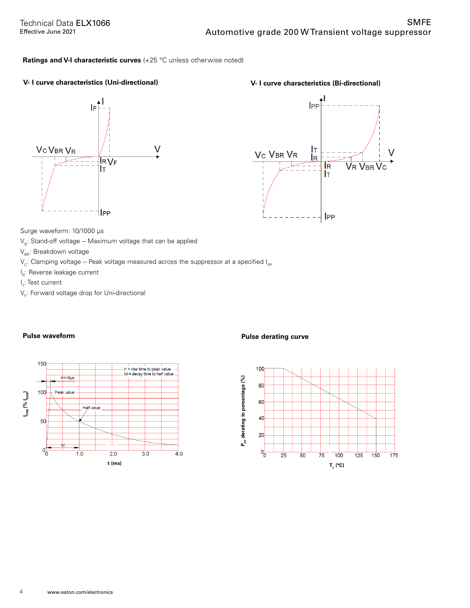# **Ratings and V-I characteristic curves** (+25 °C unless otherwise noted)

# **V- I curve characteristics (Uni-directional) V- I curve characteristics (Bi-directional)**





Surge waveform: 10/1000 μs

- $V_R$ : Stand-off voltage -- Maximum voltage that can be applied
- $V_{BR}$ : Breakdown voltage
- $V_c$ : Clamping voltage -- Peak voltage measured across the suppressor at a specified  $I_{\text{PP}}$
- I R: Reverse leakage current
- l<sub>T</sub>: Test current
- $\mathsf{V}_\mathsf{F}$ : Forward voltage drop for Uni-directional



# **Pulse waveform Pulse derating curve**

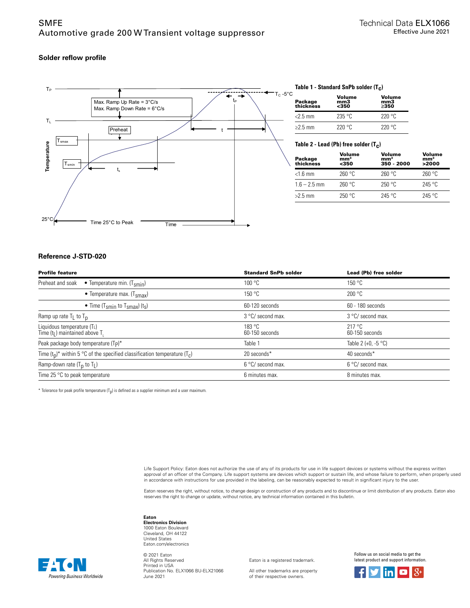# **Solder reflow profile**



# **Table 1 - Standard SnPb solder (T c )**

| Package<br>thickness | Volume<br>mm3<br>$350$ | Volume<br>mm3<br>>350 |
|----------------------|------------------------|-----------------------|
| $<$ 2.5 mm           | 235 °C                 | 220°C                 |
| $\geq$ 2.5 mm        | 220 °C                 | 220°C                 |

**Table 2 - Lead (Pb) free solder (T c )**

| Package<br>thickness | Volume<br>mm <sup>3</sup><br>$350$ | Volume<br>mm <sup>3</sup><br>350 - 2000 | Volume<br>mm <sup>3</sup><br>>2000 |
|----------------------|------------------------------------|-----------------------------------------|------------------------------------|
| $<$ 1.6 mm           | 260 °C                             | 260 °C                                  | 260 °C                             |
| $1.6 - 2.5$ mm       | 260 °C                             | 250 °C                                  | 245 °C                             |
| $>2.5$ mm            | 250 °C                             | 245 °C                                  | 245 °C                             |

# **Reference J-STD-020**

| <b>Profile feature</b>                                                         | <b>Standard SnPb solder</b> | Lead (Pb) free solder         |
|--------------------------------------------------------------------------------|-----------------------------|-------------------------------|
| Preheat and soak<br>• Temperature min. $(T_{smin})$                            | 100 °C                      | 150 °C                        |
| • Temperature max. $(Tsmax)$                                                   | 150 °C                      | 200 °C                        |
| • Time (T <sub>smin</sub> to T <sub>smax</sub> ) (t <sub>s</sub> )             | 60-120 seconds              | 60 - 180 seconds              |
| Ramp up rate $T_L$ to $T_D$                                                    | 3 °C/ second max.           | 3 °C/ second max.             |
| Liquidous temperature (TL)<br>Time $(tL)$ maintained above T.                  | 183 °C<br>60-150 seconds    | 217 °C<br>60-150 seconds      |
| Peak package body temperature (Tp)*                                            | Table 1                     | Table 2 (+0, -5 $^{\circ}$ C) |
| Time $(t_0)^*$ within 5 °C of the specified classification temperature $(T_c)$ | 20 seconds*                 | 40 seconds*                   |
| Ramp-down rate (T <sub>p</sub> to T <sub>L</sub> )                             | 6 °C/ second max.           | 6 °C/ second max.             |
| Time 25 $\degree$ C to peak temperature                                        | 6 minutes max.              | 8 minutes max.                |

 $^*$  Tolerance for peak profile temperature (T<sub>p</sub>) is defined as a supplier minimum and a user maximum.

Life Support Policy: Eaton does not authorize the use of any of its products for use in life support devices or systems without the express written approval of an officer of the Company. Life support systems are devices which support or sustain life, and whose failure to perform, when properly used in accordance with instructions for use provided in the labeling, can be reasonably expected to result in significant injury to the user.

Eaton reserves the right, without notice, to change design or construction of any products and to discontinue or limit distribution of any products. Eaton also<br>reserves the right to change or update, without notice, any te

#### **Eaton**

**Electronics Division** 1000 Eaton Boulevard Cleveland, OH 44122 United States Eaton.com/electronics

Powering Business Worldwide

© 2021 Eaton All Rights Reserved Printed in USA Publication No. ELX1066 BU-ELX21066 June 2021

Eaton is a registered trademark.

All other trademarks are property of their respective owners.

Follow us on social media to get the latest product and support information.